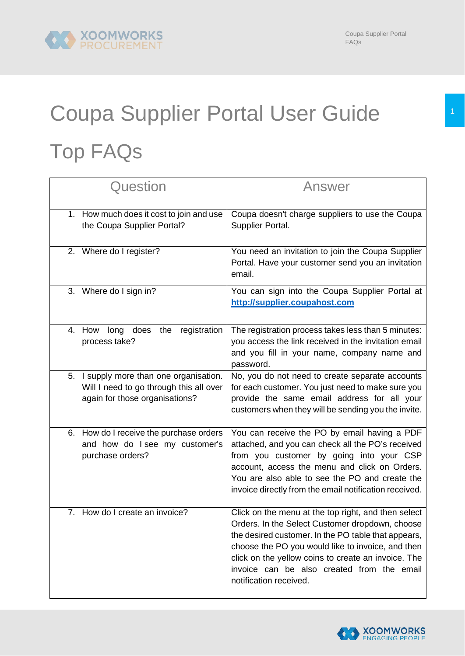## Coupa Supplier Portal User Guide 1 Top FAQs

| Question                                                                                                                | Answer                                                                                                                                                                                                                                                                                                                                            |
|-------------------------------------------------------------------------------------------------------------------------|---------------------------------------------------------------------------------------------------------------------------------------------------------------------------------------------------------------------------------------------------------------------------------------------------------------------------------------------------|
| 1. How much does it cost to join and use<br>the Coupa Supplier Portal?                                                  | Coupa doesn't charge suppliers to use the Coupa<br>Supplier Portal.                                                                                                                                                                                                                                                                               |
| 2. Where do I register?                                                                                                 | You need an invitation to join the Coupa Supplier<br>Portal. Have your customer send you an invitation<br>email.                                                                                                                                                                                                                                  |
| Where do I sign in?<br>3.                                                                                               | You can sign into the Coupa Supplier Portal at<br>http://supplier.coupahost.com                                                                                                                                                                                                                                                                   |
| does the registration<br>4. How long<br>process take?                                                                   | The registration process takes less than 5 minutes:<br>you access the link received in the invitation email<br>and you fill in your name, company name and<br>password.                                                                                                                                                                           |
| I supply more than one organisation.<br>5.<br>Will I need to go through this all over<br>again for those organisations? | No, you do not need to create separate accounts<br>for each customer. You just need to make sure you<br>provide the same email address for all your<br>customers when they will be sending you the invite.                                                                                                                                        |
| 6. How do I receive the purchase orders<br>and how do I see my customer's<br>purchase orders?                           | You can receive the PO by email having a PDF<br>attached, and you can check all the PO's received<br>from you customer by going into your CSP<br>account, access the menu and click on Orders.<br>You are also able to see the PO and create the<br>invoice directly from the email notification received.                                        |
| 7. How do I create an invoice?                                                                                          | Click on the menu at the top right, and then select<br>Orders. In the Select Customer dropdown, choose<br>the desired customer. In the PO table that appears,<br>choose the PO you would like to invoice, and then<br>click on the yellow coins to create an invoice. The<br>invoice can be also created from the email<br>notification received. |